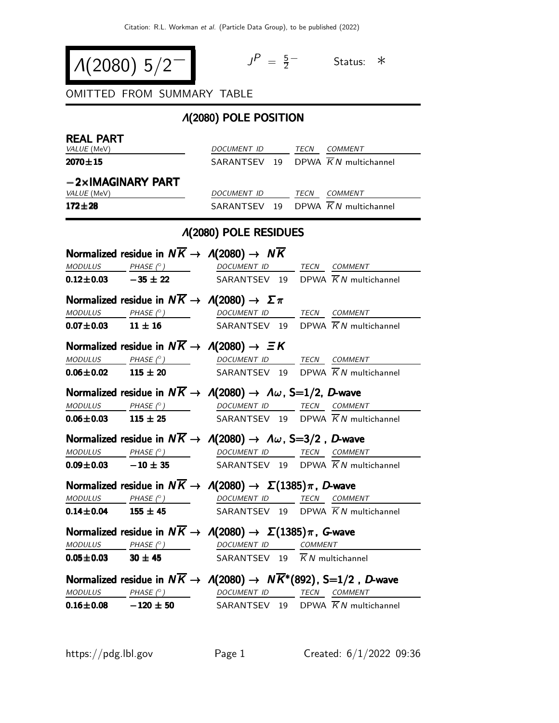$$
\Lambda(2080) 5/2^-
$$

$$
J^P = \frac{5}{2} \qquad \text{Status:} \quad *
$$

OMITTED FROM SUMMARY TABLE

## Λ(2080) POLE POSITION

| <b>REAL PART</b> | VALUE (MeV)                                                                                                                                                                                                                                                                                                                                                                                                                                                                  | DOCUMENT ID TECN COMMENT                  |  |                     |                                                                                                                                                                                                |
|------------------|------------------------------------------------------------------------------------------------------------------------------------------------------------------------------------------------------------------------------------------------------------------------------------------------------------------------------------------------------------------------------------------------------------------------------------------------------------------------------|-------------------------------------------|--|---------------------|------------------------------------------------------------------------------------------------------------------------------------------------------------------------------------------------|
| $2070 \pm 15$    |                                                                                                                                                                                                                                                                                                                                                                                                                                                                              |                                           |  |                     | SARANTSEV 19 DPWA $\overline{K}N$ multichannel                                                                                                                                                 |
|                  |                                                                                                                                                                                                                                                                                                                                                                                                                                                                              |                                           |  |                     |                                                                                                                                                                                                |
|                  | $-2\times$ IMAGINARY PART                                                                                                                                                                                                                                                                                                                                                                                                                                                    |                                           |  |                     |                                                                                                                                                                                                |
|                  | VALUE (MeV)                                                                                                                                                                                                                                                                                                                                                                                                                                                                  |                                           |  |                     | DOCUMENT ID TECN COMMENT<br>SARANTSEV 19 DPWA $\overline{K}N$ multichannel                                                                                                                     |
| $172 + 28$       |                                                                                                                                                                                                                                                                                                                                                                                                                                                                              |                                           |  |                     |                                                                                                                                                                                                |
|                  |                                                                                                                                                                                                                                                                                                                                                                                                                                                                              | <b>A(2080) POLE RESIDUES</b>              |  |                     |                                                                                                                                                                                                |
|                  | Normalized residue in $N\overline{K} \rightarrow A(2080) \rightarrow N\overline{K}$                                                                                                                                                                                                                                                                                                                                                                                          |                                           |  |                     |                                                                                                                                                                                                |
|                  | $\begin{array}{ccccccccc} \textit{MODULUS} & \textit{\_} & \textit{PHASE}& \texttt{?} & \textit{} & \textit{} & \textit{.} & \textit{.} & \textit{.} & \textit{.} & \textit{.} & \textit{.} & \textit{.} & \textit{.} & \textit{.} & \textit{.} & \textit{.} & \textit{.} & \textit{.} & \textit{.} & \textit{.} & \textit{.} & \textit{.} & \textit{.} & \textit{.} & \textit{.} & \textit{.} & \textit{.} & \textit{.} & \textit{.}$                                       |                                           |  |                     |                                                                                                                                                                                                |
|                  | <b>0.12±0.03</b> -35 ± 22 SARANTSEV 19 DPWA $\overline{K}N$ multichannel                                                                                                                                                                                                                                                                                                                                                                                                     |                                           |  |                     |                                                                                                                                                                                                |
|                  | Normalized residue in $N\overline{K} \to \Lambda(2080) \to \Sigma \pi$                                                                                                                                                                                                                                                                                                                                                                                                       |                                           |  |                     |                                                                                                                                                                                                |
|                  |                                                                                                                                                                                                                                                                                                                                                                                                                                                                              |                                           |  |                     | $\begin{array}{ccccccccc}\textit{MODULUS} & \textit{PHASE}&\textit{?}) & \textit{DOCUMENT} & \textit{ID} & \textit{TECN} & \textit{COMMENT} & \textit{?} \end{array}$                          |
|                  | <b>0.07±0.03</b> 11 ± 16 SARANTSEV 19 DPWA $\overline{K}N$ multichannel                                                                                                                                                                                                                                                                                                                                                                                                      |                                           |  |                     |                                                                                                                                                                                                |
|                  | Normalized residue in $N\overline{K} \rightarrow A(2080) \rightarrow \Xi K$                                                                                                                                                                                                                                                                                                                                                                                                  |                                           |  |                     |                                                                                                                                                                                                |
|                  | $\begin{array}{ccccccccc} \textit{MODULUS} & \textit{PHASE}& \textcircled{?} & \textit{DOCUMENT} & \textit{ID} & \textit{TECN} & \textit{COMMENT} & \textit{OMMENT} & \textit{OMMENT} & \textit{OMMENT} & \textit{OMMENT} & \textit{OMMENT} & \textit{OMMENT} & \textit{OMMENT} & \textit{OMMENT} & \textit{OMMENT} & \textit{OMMENT} & \textit{OMMENT} & \textit{OMMENT} & \textit{OMMENT} & \textit{OMMENT} & \textit{OMMENT} & \textit{OMMENT} & \textit{OMMENT} & \text$ |                                           |  |                     |                                                                                                                                                                                                |
|                  | <b>0.06±0.02</b> 115 ± 20 SARANTSEV 19 DPWA $\overline{K}N$ multichannel                                                                                                                                                                                                                                                                                                                                                                                                     |                                           |  |                     |                                                                                                                                                                                                |
|                  | Normalized residue in $N\overline{K} \to \Lambda(2080) \to \Lambda \omega$ , S=1/2, D-wave                                                                                                                                                                                                                                                                                                                                                                                   |                                           |  |                     |                                                                                                                                                                                                |
|                  | $\frac{MODULUS}{115 \pm 25}$ $\frac{PHASE (°)}{115 \pm 25}$ $\frac{DOCUMENT ID}{SARANTSEV}$ $\frac{TECN}{N}$ $\frac{COMMENT}{N}$ $\frac{COMMENT}{N}$                                                                                                                                                                                                                                                                                                                         |                                           |  |                     |                                                                                                                                                                                                |
|                  |                                                                                                                                                                                                                                                                                                                                                                                                                                                                              |                                           |  |                     |                                                                                                                                                                                                |
|                  | Normalized residue in $N\overline{K} \to \Lambda(2080) \to \Lambda \omega$ , S=3/2, D-wave                                                                                                                                                                                                                                                                                                                                                                                   |                                           |  |                     |                                                                                                                                                                                                |
|                  | $\begin{array}{ccccccccc}\textit{MODULUS} & \hspace{0.2cm} & \textit{PHASE}&\textit{?}) & \hspace{0.2cm} & \textit{DOCUMENT ID} & \hspace{0.2cm} & \textit{TECN} & \textit{COMMENT} \end{array}$                                                                                                                                                                                                                                                                             |                                           |  |                     |                                                                                                                                                                                                |
|                  | <b>0.09±0.03</b> $-10 \pm 35$ SARANTSEV 19 DPWA $\overline{K}N$ multichannel                                                                                                                                                                                                                                                                                                                                                                                                 |                                           |  |                     |                                                                                                                                                                                                |
|                  | Normalized residue in $N\overline{K} \to \Lambda(2080) \to \Sigma(1385)\pi$ , D-wave                                                                                                                                                                                                                                                                                                                                                                                         |                                           |  |                     |                                                                                                                                                                                                |
|                  | $\frac{MODULUS}{0.14\pm0.04}$ $\frac{PHASE (°)}{155\pm45}$ $\frac{DOCUMENT ID}{SARANTSEV}$ $\frac{TECN}{D PWA}$ $\frac{COMMENT}{K N multichannel}$                                                                                                                                                                                                                                                                                                                           |                                           |  |                     |                                                                                                                                                                                                |
|                  |                                                                                                                                                                                                                                                                                                                                                                                                                                                                              |                                           |  |                     |                                                                                                                                                                                                |
|                  | Normalized residue in $N\overline{K} \to \Lambda(2080) \to \Sigma(1385)\pi$ , G-wave                                                                                                                                                                                                                                                                                                                                                                                         |                                           |  |                     |                                                                                                                                                                                                |
|                  | $MODULUS$ PHASE $(°)$                                                                                                                                                                                                                                                                                                                                                                                                                                                        |                                           |  | DOCUMENT ID COMMENT |                                                                                                                                                                                                |
|                  | $0.05 \pm 0.03$ 30 $\pm$ 45                                                                                                                                                                                                                                                                                                                                                                                                                                                  | SARANTSEV 19 $\overline{K}N$ multichannel |  |                     |                                                                                                                                                                                                |
|                  | Normalized residue in $N\overline{K} \to \Lambda(2080) \to N\overline{K}^*(892)$ , S=1/2, D-wave                                                                                                                                                                                                                                                                                                                                                                             |                                           |  |                     |                                                                                                                                                                                                |
|                  |                                                                                                                                                                                                                                                                                                                                                                                                                                                                              |                                           |  |                     | $\underline{\textit{MODULUS}} \qquad \underline{\textit{PHASE (}^{\circ}) \qquad} \qquad \underline{\textit{DOCUMENT ID}} \qquad \underline{\textit{TECN}} \quad \underline{\textit{COMMENT}}$ |
|                  | <b>0.16±0.08</b> -120 ± 50 SARANTSEV 19 DPWA $\overline{K}N$ multichannel                                                                                                                                                                                                                                                                                                                                                                                                    |                                           |  |                     |                                                                                                                                                                                                |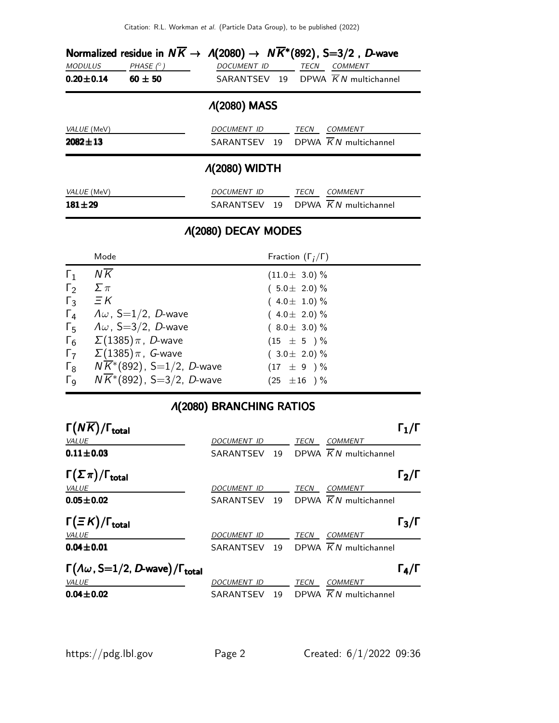|                                   |                                 |                    | Normalized residue in $N\overline{K} \to \Lambda(2080) \to N\overline{K}^*(892)$ , S=3/2, D-wave |  |  |  |  |
|-----------------------------------|---------------------------------|--------------------|--------------------------------------------------------------------------------------------------|--|--|--|--|
| <b>MODULUS</b><br>$0.20 \pm 0.14$ | PHASE $(^\circ)$<br>$60 \pm 50$ | <b>DOCUMENT ID</b> | TECN<br><b>COMMENT</b><br>SARANTSEV 19 DPWA $\overline{K}N$ multichannel                         |  |  |  |  |
| <b><i>A</i>(2080) MASS</b>        |                                 |                    |                                                                                                  |  |  |  |  |
| VALUE (MeV)<br>$2082 \pm 13$      |                                 | DOCUMENT ID        | TECN<br><b>COMMENT</b><br>SARANTSEV 19 DPWA $\overline{K}N$ multichannel                         |  |  |  |  |
| <b><i>A</i>(2080) WIDTH</b>       |                                 |                    |                                                                                                  |  |  |  |  |
| VALUE (MeV)<br>$181 + 29$         |                                 | <i>DOCUMENT ID</i> | TECN<br><b>COMMENT</b><br>SARANTSEV 19 DPWA $\overline{K}N$ multichannel                         |  |  |  |  |

## Λ(2080) DECAY MODES

|                       | Mode                                  | Fraction $(\Gamma_i/\Gamma)$ |
|-----------------------|---------------------------------------|------------------------------|
| $\Gamma_1$            | ΝK                                    | $(11.0 \pm 3.0)\%$           |
| $\Gamma_2$            | $\sum \pi$                            | $(5.0 \pm 2.0) \%$           |
| $\Gamma_3$            | $\Xi K$                               | $(4.0 \pm 1.0)\%$            |
| $\Gamma_4$            | $\Lambda \omega$ , S=1/2, D-wave      | $(4.0 \pm 2.0)\%$            |
| $\Gamma_5$            | $\Lambda \omega$ , S=3/2, D-wave      | $(8.0 \pm 3.0)\%$            |
| $\Gamma_6$            | $\Sigma(1385)\pi$ , D-wave            | $(15 \pm 5) \%$              |
| $\Gamma$              | $\Sigma(1385)\pi$ , G-wave            | $(3.0 \pm 2.0)\%$            |
| $\Gamma_8$            | $N\overline{K}$ *(892), S=1/2, D-wave | $(17 \pm 9) \%$              |
| $\Gamma_{\mathsf{Q}}$ | $NK*(892)$ , S=3/2, D-wave            | $(25 \pm 16) \%$             |

## Λ(2080) BRANCHING RATIOS

| $\Gamma(N\overline{K})/\Gamma_{\rm total}$                                 |             |    |      |                                      | $\mathsf{\Gamma}_1/\mathsf{\Gamma}$ |
|----------------------------------------------------------------------------|-------------|----|------|--------------------------------------|-------------------------------------|
| <b>VALUE</b>                                                               | DOCUMENT ID |    | TECN | <b>COMMENT</b>                       |                                     |
| $0.11 \pm 0.03$                                                            | SARANTSEV   | 19 |      | DPWA $\overline{K}N$ multichannel    |                                     |
| $\Gamma(\Sigma \pi)/\Gamma_{\rm total}$                                    |             |    |      |                                      | $\Gamma_2/\Gamma$                   |
| <b>VALUE</b>                                                               | DOCUMENT ID |    | TECN | <b>COMMENT</b>                       |                                     |
| $0.05 \pm 0.02$                                                            | SARANTSEV   | 19 |      | DPWA $KN$ multichannel               |                                     |
| $\Gamma(\equiv K)/\Gamma_{\rm total}$                                      |             |    |      |                                      | $\Gamma_3/\Gamma$                   |
| VALUE                                                                      | DOCUMENT ID |    | TECN | <b>COMMENT</b>                       |                                     |
| $0.04 \pm 0.01$                                                            | SARANTSEV   |    |      | 19 DPWA $\overline{K}N$ multichannel |                                     |
| $\Gamma(\Lambda\omega, \text{S=1/2}, D\text{-wave})/\Gamma_{\text{total}}$ |             |    |      |                                      | $\Gamma_4/\Gamma$                   |
| VALUE                                                                      | DOCUMENT ID |    | TECN | <b>COMMENT</b>                       |                                     |
| $0.04 \pm 0.02$                                                            | SARANTSEV   | 19 |      | DPWA $\overline{K}N$ multichannel    |                                     |